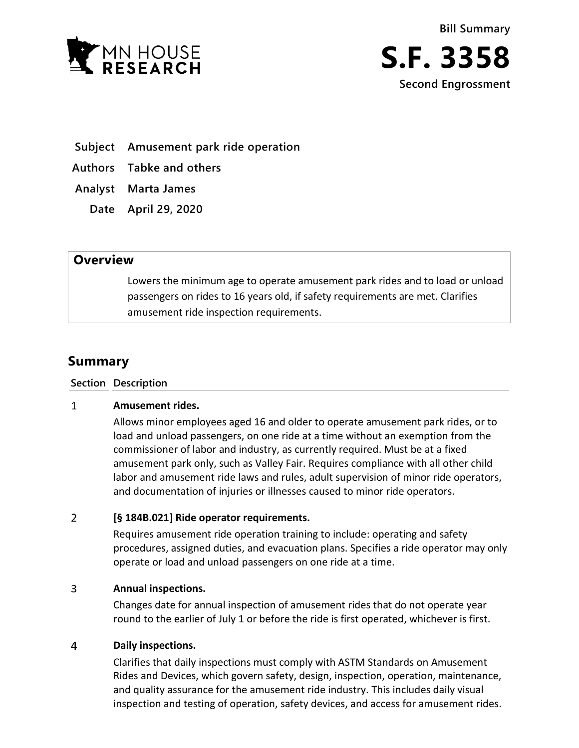



**Subject Amusement park ride operation**

**Authors Tabke and others**

- **Analyst Marta James**
	- **Date April 29, 2020**

## **Overview**

Lowers the minimum age to operate amusement park rides and to load or unload passengers on rides to 16 years old, if safety requirements are met. Clarifies amusement ride inspection requirements.

# **Summary**

### **Section Description**

#### $\mathbf{1}$ **Amusement rides.**

Allows minor employees aged 16 and older to operate amusement park rides, or to load and unload passengers, on one ride at a time without an exemption from the commissioner of labor and industry, as currently required. Must be at a fixed amusement park only, such as Valley Fair. Requires compliance with all other child labor and amusement ride laws and rules, adult supervision of minor ride operators, and documentation of injuries or illnesses caused to minor ride operators.

#### $\overline{2}$ **[§ 184B.021] Ride operator requirements.**

Requires amusement ride operation training to include: operating and safety procedures, assigned duties, and evacuation plans. Specifies a ride operator may only operate or load and unload passengers on one ride at a time.

#### $\overline{3}$ **Annual inspections.**

Changes date for annual inspection of amusement rides that do not operate year round to the earlier of July 1 or before the ride is first operated, whichever is first.

#### $\overline{4}$ **Daily inspections.**

Clarifies that daily inspections must comply with ASTM Standards on Amusement Rides and Devices, which govern safety, design, inspection, operation, maintenance, and quality assurance for the amusement ride industry. This includes daily visual inspection and testing of operation, safety devices, and access for amusement rides.